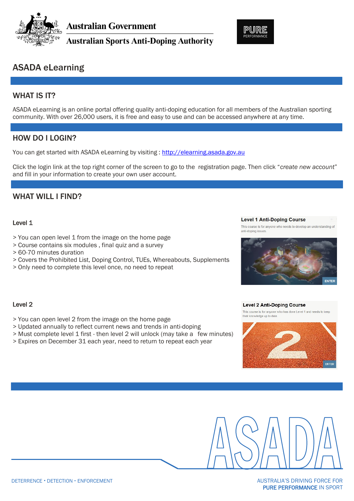

**Australian Government** 

**Australian Sports Anti-Doping Authority** 



## ASADA eLearning

## WHAT IS **IT?**

ASADA eLearning is an online portal offering quality anti-doping education for all members of the Australian sporting community. With over 26,000 users, it is free and easy to use and can be accessed anywhere at any time.

## HOW DO I LOGIN?

You can get started with ASADA eLearning by visiting : [http://elearning.asada.gov.au](http://elearning.asada.gov.au/)

Click the login link at the top right corner of the screen to go to the registration page. Then click "*create new account*" and fill in your information to create your own user account.

## WHAT WILL I FIND?

#### Level 1

- > You can open level 1 from the image on the home page
- > Course contains six modules , final quiz and a survey
- > 60-70 minutes duration
- > Covers the Prohibited List, Doping Control, TUEs, Whereabouts, Supplements
- > Only need to complete this level once, no need to repeat



This course is for anyone who needs to develop an understanding of

#### **Level 2 Anti-Doping Course**

**Level 1 Anti-Doping Course** 

This course is for anyone who has done I evel 1 and needs to keep their knowledge up to date





## Level 2

- > You can open level 2 from the image on the home page
- > Updated annually to reflect current news and trends in anti-doping
- > Must complete level 1 first then level 2 will unlock (may take a few minutes)
- > Expires on December 31 each year, need to return to repeat each year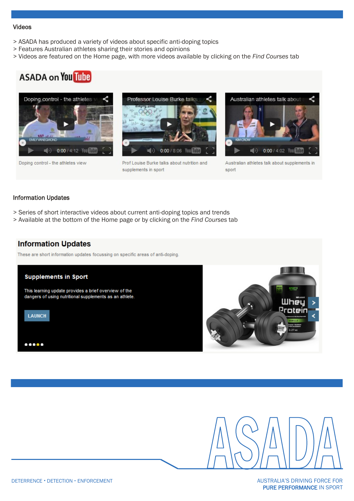#### Videos

- > ASADA has produced a variety of videos about specific anti-doping topics
- > Features Australian athletes sharing their stories and opinions
- > Videos are featured on the Home page, with more videos available by clicking on the *Find Courses* tab

# **ASADA on You Tube**



Doping control - the athletes view



Prof Louise Burke talks about nutrition and supplements in sport



Australian athletes talk about supplements in sport

#### Information Updates

- > Series of short interactive videos about current anti-doping topics and trends
- > Available at the bottom of the Home page or by clicking on the *Find Courses* tab

## **Information Updates**

These are short information updates focussing on specific areas of anti-doping.